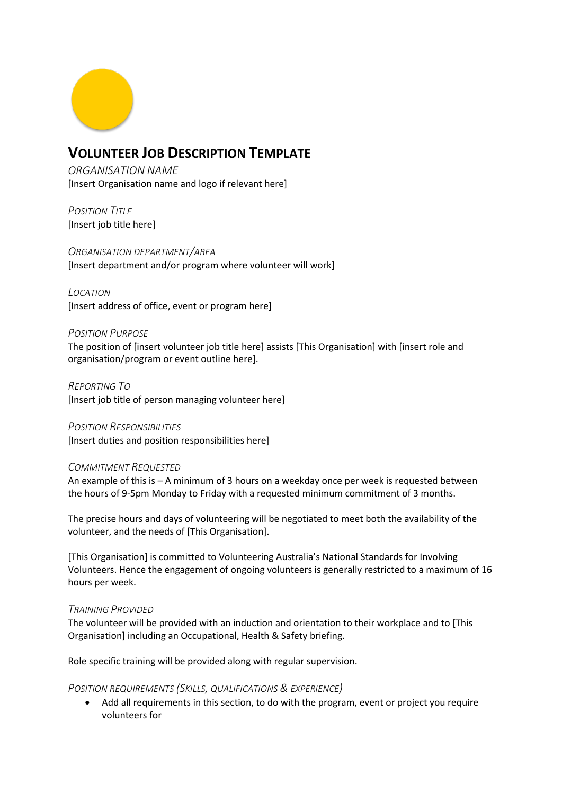

# **VOLUNTEER JOB DESCRIPTION TEMPLATE**

*ORGANISATION NAME* [Insert Organisation name and logo if relevant here]

*POSITION TITLE* [Insert job title here]

*ORGANISATION DEPARTMENT/AREA* [Insert department and/or program where volunteer will work]

*LOCATION* [Insert address of office, event or program here]

## *POSITION PURPOSE*

The position of [insert volunteer job title here] assists [This Organisation] with [insert role and organisation/program or event outline here].

*REPORTING TO* [Insert job title of person managing volunteer here]

*POSITION RESPONSIBILITIES* [Insert duties and position responsibilities here]

## *COMMITMENT REQUESTED*

An example of this is – A minimum of 3 hours on a weekday once per week is requested between the hours of 9-5pm Monday to Friday with a requested minimum commitment of 3 months.

The precise hours and days of volunteering will be negotiated to meet both the availability of the volunteer, and the needs of [This Organisation].

[This Organisation] is committed to Volunteering Australia's National Standards for Involving Volunteers. Hence the engagement of ongoing volunteers is generally restricted to a maximum of 16 hours per week.

## *TRAINING PROVIDED*

The volunteer will be provided with an induction and orientation to their workplace and to [This Organisation] including an Occupational, Health & Safety briefing.

Role specific training will be provided along with regular supervision.

## *POSITION REQUIREMENTS (SKILLS, QUALIFICATIONS & EXPERIENCE)*

• Add all requirements in this section, to do with the program, event or project you require volunteers for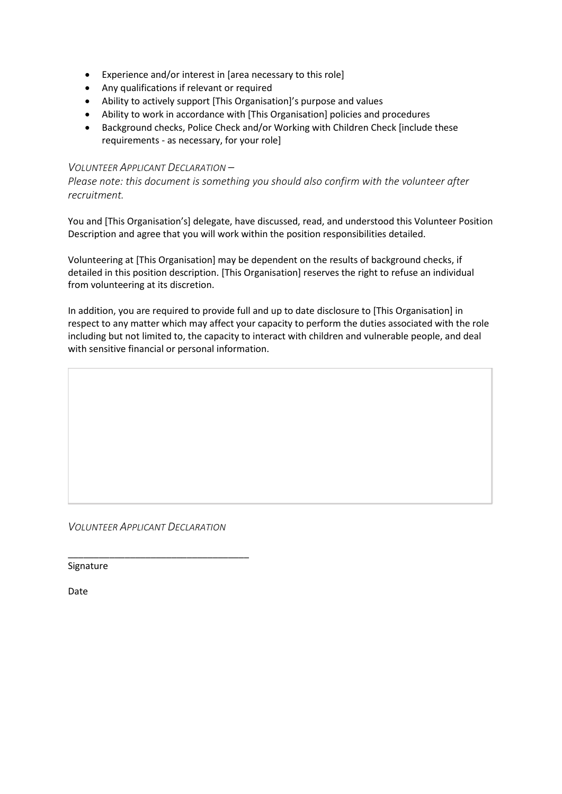- Experience and/or interest in [area necessary to this role]
- Any qualifications if relevant or required
- Ability to actively support [This Organisation]'s purpose and values
- Ability to work in accordance with [This Organisation] policies and procedures
- Background checks, Police Check and/or Working with Children Check [include these requirements - as necessary, for your role]

### *VOLUNTEER APPLICANT DECLARATION –*

*Please note: this document is something you should also confirm with the volunteer after recruitment.*

You and [This Organisation's] delegate, have discussed, read, and understood this Volunteer Position Description and agree that you will work within the position responsibilities detailed.

Volunteering at [This Organisation] may be dependent on the results of background checks, if detailed in this position description. [This Organisation] reserves the right to refuse an individual from volunteering at its discretion.

In addition, you are required to provide full and up to date disclosure to [This Organisation] in respect to any matter which may affect your capacity to perform the duties associated with the role including but not limited to, the capacity to interact with children and vulnerable people, and deal with sensitive financial or personal information.

*VOLUNTEER APPLICANT DECLARATION*

\_\_\_\_\_\_\_\_\_\_\_\_\_\_\_\_\_\_\_\_\_\_\_\_\_\_\_\_\_\_\_\_\_\_\_

Signature

Date